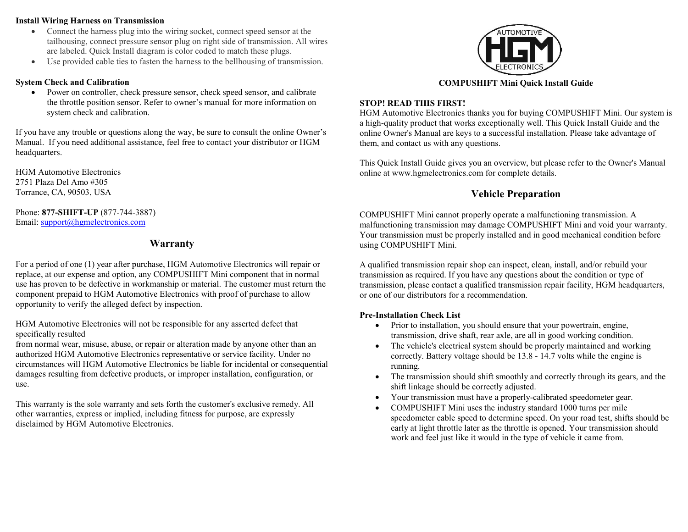#### Install Wiring Harness on Transmission

- Connect the harness plug into the wiring socket, connect speed sensor at the tailhousing, connect pressure sensor plug on right side of transmission. All wires are labeled. Quick Install diagram is color coded to match these plugs.
- Use provided cable ties to fasten the harness to the bellhousing of transmission.

### System Check and Calibration

 Power on controller, check pressure sensor, check speed sensor, and calibrate the throttle position sensor. Refer to owner's manual for more information on system check and calibration.

If you have any trouble or questions along the way, be sure to consult the online Owner's Manual. If you need additional assistance, feel free to contact your distributor or HGM headquarters.

HGM Automotive Electronics 2751 Plaza Del Amo #305 Torrance, CA, 90503, USA

Phone: 877-SHIFT-UP (877-744-3887) Email: support@hgmelectronics.com

# Warranty

For a period of one (1) year after purchase, HGM Automotive Electronics will repair or replace, at our expense and option, any COMPUSHIFT Mini component that in normal use has proven to be defective in workmanship or material. The customer must return the component prepaid to HGM Automotive Electronics with proof of purchase to allow opportunity to verify the alleged defect by inspection.

HGM Automotive Electronics will not be responsible for any asserted defect that specifically resulted

from normal wear, misuse, abuse, or repair or alteration made by anyone other than an authorized HGM Automotive Electronics representative or service facility. Under no circumstances will HGM Automotive Electronics be liable for incidental or consequential damages resulting from defective products, or improper installation, configuration, or use.

This warranty is the sole warranty and sets forth the customer's exclusive remedy. All other warranties, express or implied, including fitness for purpose, are expressly disclaimed by HGM Automotive Electronics.



# COMPUSHIFT Mini Quick Install Guide

# STOP! READ THIS FIRST!

HGM Automotive Electronics thanks you for buying COMPUSHIFT Mini. Our system is a high-quality product that works exceptionally well. This Quick Install Guide and the online Owner's Manual are keys to a successful installation. Please take advantage of them, and contact us with any questions.

This Quick Install Guide gives you an overview, but please refer to the Owner's Manual online at www.hgmelectronics.com for complete details.

# Vehicle Preparation

COMPUSHIFT Mini cannot properly operate a malfunctioning transmission. A malfunctioning transmission may damage COMPUSHIFT Mini and void your warranty. Your transmission must be properly installed and in good mechanical condition before using COMPUSHIFT Mini.

A qualified transmission repair shop can inspect, clean, install, and/or rebuild your transmission as required. If you have any questions about the condition or type of transmission, please contact a qualified transmission repair facility, HGM headquarters, or one of our distributors for a recommendation.

# Pre-Installation Check List

- Prior to installation, you should ensure that your powertrain, engine, transmission, drive shaft, rear axle, are all in good working condition.
- The vehicle's electrical system should be properly maintained and working correctly. Battery voltage should be 13.8 - 14.7 volts while the engine is running.
- The transmission should shift smoothly and correctly through its gears, and the shift linkage should be correctly adjusted.
- Your transmission must have a properly-calibrated speedometer gear.
- COMPUSHIFT Mini uses the industry standard 1000 turns per mile speedometer cable speed to determine speed. On your road test, shifts should be early at light throttle later as the throttle is opened. Your transmission should work and feel just like it would in the type of vehicle it came from.